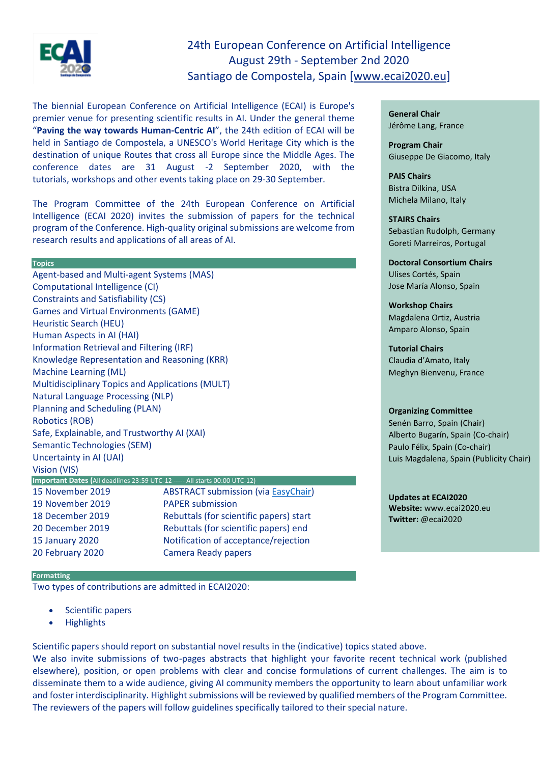

# 24th European Conference on Artificial Intelligence August 29th - September 2nd 2020 Santiago de Compostela, Spain [\[www.ecai2020.eu\]](http://www.ecai2020.eu/)

The biennial European Conference on Artificial Intelligence (ECAI) is Europe's premier venue for presenting scientific results in AI. Under the general theme "**Paving the way towards Human-Centric AI**", the 24th edition of ECAI will be held in Santiago de Compostela, a UNESCO's World Heritage City which is the destination of unique Routes that cross all Europe since the Middle Ages. The conference dates are 31 August -2 September 2020, with the tutorials, workshops and other events taking place on 29-30 September.

The Program Committee of the 24th European Conference on Artificial Intelligence (ECAI 2020) invites the submission of papers for the technical program of the Conference. High-quality original submissions are welcome from research results and applications of all areas of AI.

# **Topics**

Agent-based and Multi-agent Systems (MAS) Computational Intelligence (CI) Constraints and Satisfiability (CS) Games and Virtual Environments (GAME) Heuristic Search (HEU) Human Aspects in AI (HAI) Information Retrieval and Filtering (IRF) Knowledge Representation and Reasoning (KRR) Machine Learning (ML) Multidisciplinary Topics and Applications (MULT) Natural Language Processing (NLP) Planning and Scheduling (PLAN) Robotics (ROB) Safe, Explainable, and Trustworthy AI (XAI) Semantic Technologies (SEM) Uncertainty in AI (UAI) Vision (VIS) **Important Dates (**All deadlines 23:59 UTC-12 ----- All starts 00:00 UTC-12) 15 November 2019 ABSTRACT submission (via [EasyChair\)](https://easychair.org/conferences/?conf=ecai2020) 19 November 2019 PAPER submission 18 December 2019 Rebuttals (for scientific papers) start 20 December 2019 Rebuttals (for scientific papers) end 15 January 2020 Notification of acceptance/rejection 20 February 2020 Camera Ready papers

# **Formatting**

Two types of contributions are admitted in ECAI2020:

- Scientific papers
- Highlights

**General Chair** Jérôme Lang, France

**Program Chair** Giuseppe De Giacomo, Italy

**PAIS Chairs** Bistra Dilkina, USA Michela Milano, Italy

**STAIRS Chairs** Sebastian Rudolph, Germany Goreti Marreiros, Portugal

**Doctoral Consortium Chairs** Ulises Cortés, Spain Jose María Alonso, Spain

**Workshop Chairs** Magdalena Ortiz, Austria Amparo Alonso, Spain

**Tutorial Chairs** Claudia d'Amato, Italy Meghyn Bienvenu, France

# **Organizing Committee**

Senén Barro, Spain (Chair) Alberto Bugarín, Spain (Co-chair) Paulo Félix, Spain (Co-chair) Luis Magdalena, Spain (Publicity Chair)

**Updates at ECAI2020 Website:** [www.ecai2020.eu](http://www.ecai2020.eu/) **Twitter:** [@ecai2020](https://twitter.com/ecai2020)

Scientific papers should report on substantial novel results in the (indicative) topics stated above.

We also invite submissions of two-pages abstracts that highlight your favorite recent technical work (published elsewhere), position, or open problems with clear and concise formulations of current challenges. The aim is to disseminate them to a wide audience, giving AI community members the opportunity to learn about unfamiliar work and foster interdisciplinarity. Highlight submissions will be reviewed by qualified members of the Program Committee. The reviewers of the papers will follow guidelines specifically tailored to their special nature.